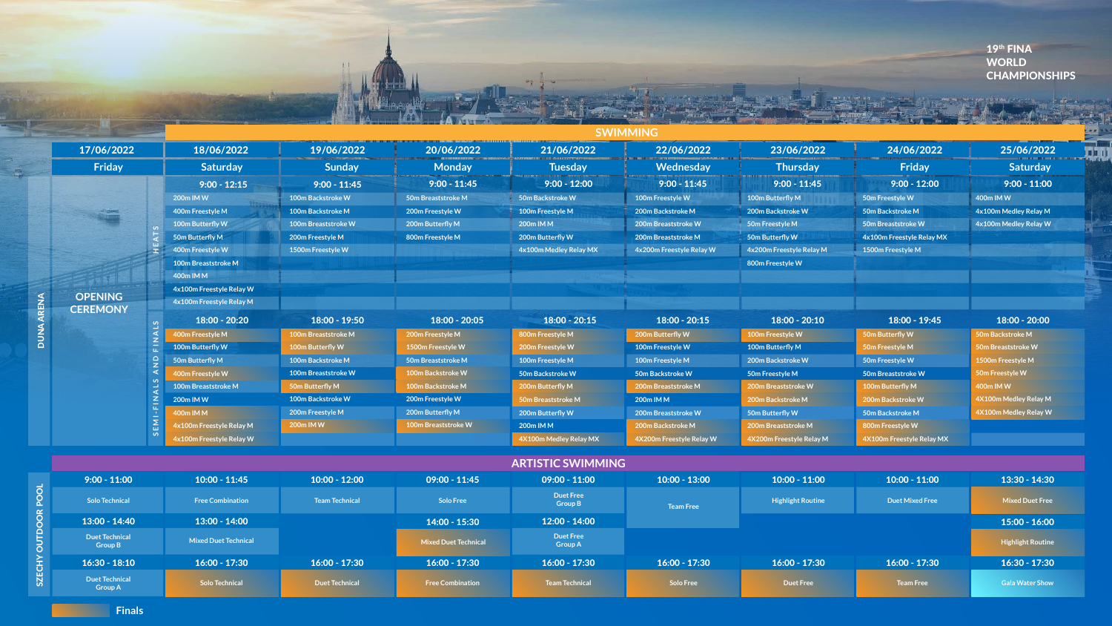### 19th FINA WORLD CHAMPIONSHIPS

## **SWIMMING**

SZECHY OUTDOOR POOL

SZECHY OUTDOOR POOL

| $9:00 - 11:00$                          | $10:00 - 11:45$             | $10:00 - 12:00$       | $09:00 - 11:45$             |
|-----------------------------------------|-----------------------------|-----------------------|-----------------------------|
| <b>Solo Technical</b>                   | <b>Free Combination</b>     | <b>Team Technical</b> | <b>Solo Free</b>            |
| $13:00 - 14:40$                         | $13:00 - 14:00$             |                       | $14:00 - 15:30$             |
| <b>Duet Technical</b><br><b>Group B</b> | <b>Mixed Duet Technical</b> |                       | <b>Mixed Duet Technical</b> |
| $16:30 - 18:10$                         | $16:00 - 17:30$             | $16:00 - 17:30$       | $16:00 - 17:30$             |
| <b>Duet Technical</b><br><b>Group A</b> | <b>Solo Technical</b>       | <b>Duet Technical</b> | <b>Free Combination</b>     |

|  | 17/06/2022      |              | 18/06/2022                 | 19/06/2022                 | 20/06/2022          | 21/06/2022                | 22/06/2022               | 23/06/2022               | 24/06/2022                | 25/06/2022            |
|--|-----------------|--------------|----------------------------|----------------------------|---------------------|---------------------------|--------------------------|--------------------------|---------------------------|-----------------------|
|  | Friday          |              | <b>Saturday</b>            | <b>Sunday</b>              | <b>Monday</b>       | <b>Tuesday</b>            | Wednesday                | <b>Thursday</b>          | Friday                    | <b>Saturday</b>       |
|  |                 |              | $9:00 - 12:15$             | $9:00 - 11:45$             | $9:00 - 11:45$      | $9:00 - 12:00$            | $9:00 - 11:45$           | $9:00 - 11:45$           | $9:00 - 12:00$            | $9:00 - 11:00$        |
|  |                 |              | 200m IM W                  | 100m Backstroke W          | 50m Breaststroke M  | <b>50m Backstroke W</b>   | 100m Freestyle W         | 100m Butterfly M         | 50m Freestyle W           | 400m IM W             |
|  |                 |              | 400m Freestyle M           | 100m Backstroke M          | 200m Freestyle W    | 100m Freestyle M          | 200m Backstroke M        | 200m Backstroke W        | 50m Backstroke M          | 4x100m Medley Relay M |
|  |                 |              | 100m Butterfly W           | <b>100m Breaststroke W</b> | 200m Butterfly M    | 200m IM M                 | 200m Breaststroke W      | 50m Freestyle M          | 50m Breaststroke W        | 4x100m Medley Relay W |
|  |                 |              | 50m Butterfly M            | 200m Freestyle M           | 800m Freestyle M    | 200m Butterfly W          | 200m Breaststroke M      | 50m Butterfly W          | 4x100m Freestyle Relay MX |                       |
|  |                 |              | 400m Freestyle W           | 1500m Freestyle W          |                     | 4x100m Medley Relay MX    | 4x200m Freestyle Relay W | 4x200m Freestyle Relay M | 1500m Freestyle M         |                       |
|  |                 |              | <b>100m Breaststroke M</b> |                            |                     |                           |                          | 800m Freestyle W         |                           |                       |
|  |                 |              | 400m IM M                  |                            |                     |                           |                          |                          |                           |                       |
|  |                 |              | 4x100m Freestyle Relay W   |                            |                     |                           |                          |                          |                           |                       |
|  | <b>OPENING</b>  |              | 4x100m Freestyle Relay M   |                            |                     |                           |                          |                          |                           |                       |
|  | <b>CEREMONY</b> |              | 18:00 - 20:20              | 18:00 - 19:50              | $18:00 - 20:05$     | $18:00 - 20:15$           | $18:00 - 20:15$          | $18:00 - 20:10$          | 18:00 - 19:45             | $18:00 - 20:00$       |
|  |                 |              | 400m Freestyle M           | 100m Breaststroke M        | 200m Freestyle M    | 800m Freestyle M          | 200m Butterfly W         | 100m Freestyle W         | 50m Butterfly W           | 50m Backstroke M      |
|  |                 |              | 100m Butterfly W           | 100m Butterfly W           | 1500m Freestyle W   | 200m Freestyle W          | 100m Freestyle W         | 100m Butterfly M         | 50m Freestyle M           | 50m Breaststroke W    |
|  |                 |              | 50m Butterfly M            | <b>100m Backstroke M</b>   | 50m Breaststroke M  | 100m Freestyle M          | 100m Freestyle M         | 200m Backstroke W        | 50m Freestyle W           | 1500m Freestyle M     |
|  |                 |              | 400m Freestyle W           | <b>100m Breaststroke W</b> | 100m Backstroke W   | <b>50m Backstroke W</b>   | 50m Backstroke W         | 50m Freestyle M          | 50m Breaststroke W        | 50m Freestyle W       |
|  |                 |              | 100m Breaststroke M        | 50m Butterfly M            | 100m Backstroke M   | 200m Butterfly M          | 200m Breaststroke M      | 200m Breaststroke W      | 100m Butterfly M          | 400m IM W             |
|  |                 | $\mathbb{Z}$ | 200m IM W                  | <b>100m Backstroke W</b>   | 200m Freestyle W    | <b>50m Breaststroke M</b> | 200m IM M                | 200m Backstroke M        | 200m Backstroke W         | 4X100m Medley Relay M |
|  |                 |              | 400m IM M                  | 200m Freestyle M           | 200m Butterfly M    | 200m Butterfly W          | 200m Breaststroke W      | 50m Butterfly W          | 50m Backstroke M          | 4X100m Medley Relay W |
|  |                 | EMI          | 4x100m Freestyle Relay M   | 200m IM W                  | 100m Breaststroke W | 200m IM M                 | 200m Backstroke M        | 200m Breaststroke M      | 800m Freestyle W          |                       |
|  |                 | ഗ            | 4x100m Freestyle Relay W   |                            |                     | 4X100m Medley Relay MX    | 4X200m Freestyle Relay W | 4X200m Freestyle Relay M | 4X100m Freestyle Relay MX |                       |
|  |                 |              |                            |                            |                     | <b>ARTISTIC SWIMMING</b>  |                          |                          |                           |                       |
|  | $9:00 - 11:00$  |              | $10:00 - 11:45$            | $10:00 - 12:00$            | $09:00 - 11:45$     | $09:00 - 11:00$           | $10:00 - 13:00$          | $10:00 - 11:00$          | $10:00 - 11:00$           | 13:30 - 14:30         |

| $09:00 - 11:00$                    | $10:00 - 13:00$  | $10:00 - 11:00$                                    | $10:00 - 11:00$  | $13:30 - 14:30$          |
|------------------------------------|------------------|----------------------------------------------------|------------------|--------------------------|
| <b>Duet Free</b><br><b>Group B</b> | <b>Team Free</b> | <b>Highlight Routine</b><br><b>Duet Mixed Free</b> |                  | <b>Mixed Duet Free</b>   |
| $12:00 - 14:00$                    |                  |                                                    |                  | $15:00 - 16:00$          |
| <b>Duet Free</b><br><b>Group A</b> |                  |                                                    |                  | <b>Highlight Routine</b> |
| $16:00 - 17:30$                    | $16:00 - 17:30$  | $16:00 - 17:30$                                    | $16:00 - 17:30$  | $16:30 - 17:30$          |
| <b>Team Technical</b>              | <b>Solo Free</b> | <b>Duet Free</b>                                   | <b>Team Free</b> | <b>Gala Water Show</b>   |



**Finals**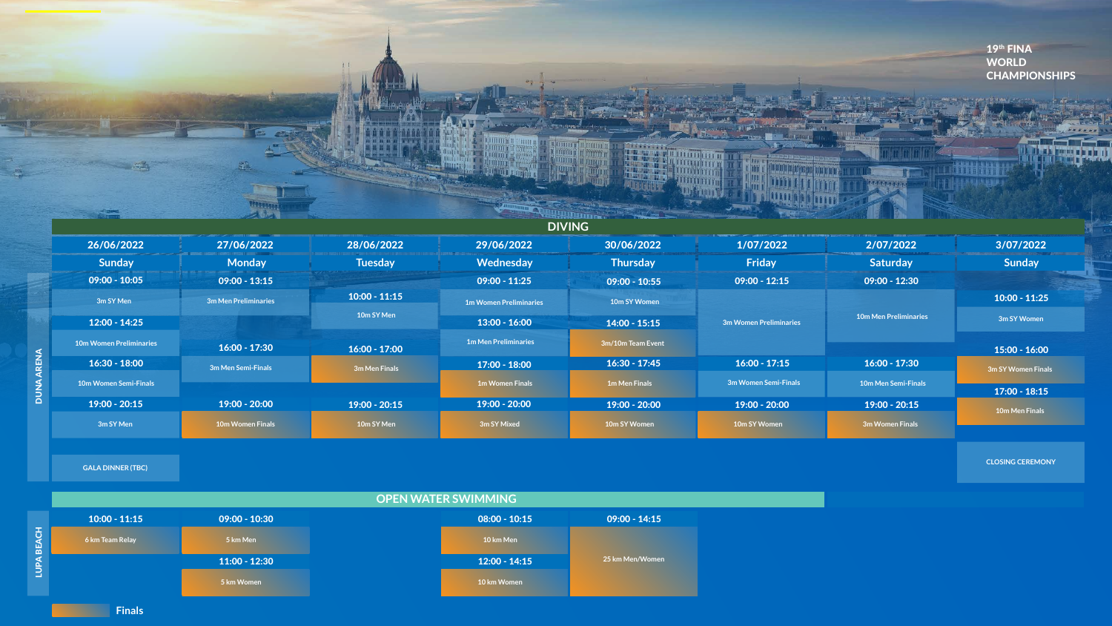**GALA DINNER (TBC)**

|             |                                          |                      |                 |                                           |                      |                        |                                               | 19th FINA<br><b>WORLD</b><br><b>CHAMPIONS</b> |
|-------------|------------------------------------------|----------------------|-----------------|-------------------------------------------|----------------------|------------------------|-----------------------------------------------|-----------------------------------------------|
|             |                                          |                      |                 |                                           |                      |                        |                                               |                                               |
|             |                                          |                      |                 | <b>DIVING</b>                             |                      |                        |                                               |                                               |
|             | 26/06/2022                               | 27/06/2022           | 28/06/2022      | 29/06/2022                                | 30/06/2022           | 1/07/2022              | 2/07/2022                                     | 3/07/2022                                     |
|             | Sunday                                   | <b>Monday</b>        | <b>Tuesday</b>  | Wednesday                                 | <b>Thursday</b>      | Friday                 | Saturday                                      | Sunday                                        |
|             | $09:00 - 10:05$                          | $09:00 - 13:15$      |                 | $09:00 - 11:25$                           | $09:00 - 10:55$      | $09:00 - 12:15$        | $09:00 - 12:30$                               |                                               |
|             | 3m SY Men                                | 3m Men Preliminaries | $10:00 - 11:15$ | <b>1m Women Preliminaries</b>             | 10m SY Women         |                        |                                               | $10:00 - 11:25$                               |
|             | $12:00 - 14:25$                          |                      | 10m SY Men      | $13:00 - 16:00$                           | $14:00 - 15:15$      | 3m Women Preliminaries | <b>10m Men Preliminaries</b>                  | 3m SY Women                                   |
|             | <b>10m Women Preliminaries</b>           |                      |                 | <b>1m Men Preliminaries</b>               | 3m/10m Team Event    |                        |                                               |                                               |
|             | $16:30 - 18:00$                          | $16:00 - 17:30$      | $16:00 - 17:00$ | $17:00 - 18:00$                           | $16:30 - 17:45$      | $16:00 - 17:15$        | $16:00 - 17:30$                               | $15:00 - 16:00$                               |
| <b>RENA</b> |                                          | 3m Men Semi-Finals   | 3m Men Finals   |                                           | <b>1m Men Finals</b> | 3m Women Semi-Finals   |                                               | 3m SY Women Finals                            |
| NUD         | 10m Women Semi-Finals<br>$19:00 - 20:15$ | $19:00 - 20:00$      | $19:00 - 20:15$ | <b>1m Women Finals</b><br>$19:00 - 20:00$ | $19:00 - 20:00$      | $19:00 - 20:00$        | <b>10m Men Semi-Finals</b><br>$19:00 - 20:15$ | $17:00 - 18:15$                               |

|                                | $\mathbb{Z}$            |                 |                               | <b>Trisco</b>        |                        |                              |                 |
|--------------------------------|-------------------------|-----------------|-------------------------------|----------------------|------------------------|------------------------------|-----------------|
|                                |                         |                 |                               |                      |                        |                              |                 |
| 26/06/2022                     | 27/06/2022              | 28/06/2022      | <b>DIVING</b><br>29/06/2022   | 30/06/2022           | 1/07/2022              | 2/07/2022                    | 3/07/202        |
| <b>Sunday</b>                  | <b>Monday</b>           | <b>Tuesday</b>  | Wednesday                     | <b>Thursday</b>      | Friday                 | <b>Saturday</b>              | <b>Sunday</b>   |
| $09:00 - 10:05$                | $09:00 - 13:15$         |                 | $09:00 - 11:25$               | $09:00 - 10:55$      | $09:00 - 12:15$        | $09:00 - 12:30$              |                 |
|                                |                         | $10:00 - 11:15$ |                               |                      |                        |                              | $10:00 - 11:2$  |
| 3m SY Men                      | 3m Men Preliminaries    | 10m SY Men      | <b>1m Women Preliminaries</b> | 10m SY Women         |                        | <b>10m Men Preliminaries</b> |                 |
| $12:00 - 14:25$                |                         |                 | $13:00 - 16:00$               | $14:00 - 15:15$      | 3m Women Preliminaries |                              | 3m SY Womer     |
| <b>10m Women Preliminaries</b> | $16:00 - 17:30$         | $16:00 - 17:00$ | <b>1m Men Preliminaries</b>   | 3m/10m Team Event    |                        |                              | $15:00 - 16:0$  |
| $16:30 - 18:00$                | 3m Men Semi-Finals      | 3m Men Finals   | $17:00 - 18:00$               | $16:30 - 17:45$      | $16:00 - 17:15$        | $16:00 - 17:30$              | 3m SY Women Fir |
| <b>10m Women Semi-Finals</b>   |                         |                 | <b>1m Women Finals</b>        | <b>1m Men Finals</b> | 3m Women Semi-Finals   | 10m Men Semi-Finals          |                 |
| $19:00 - 20:15$                | $19:00 - 20:00$         | $19:00 - 20:15$ | $19:00 - 20:00$               | $19:00 - 20:00$      | $19:00 - 20:00$        | $19:00 - 20:15$              | $17:00 - 18:1$  |
|                                |                         |                 |                               |                      |                        |                              | 10m Men Final   |
| 3m SY Men                      | <b>10m Women Finals</b> | 10m SY Men      | 3m SY Mixed                   | 10m SY Women         | 10m SY Women           | 3m Women Finals              |                 |
|                                |                         |                 |                               |                      |                        |                              |                 |



**OPEN WATER SWIMMING** 10:00 - 11:15 09:00 - 10:30 LUPA BEACH LUPA BEACH **6 km Team Relay 5 km Men 10 km Men** 11:00 - 12:30 12:00 - 14:15 **5 km Women 10 km Women**

**CLOSING CEREMONY**

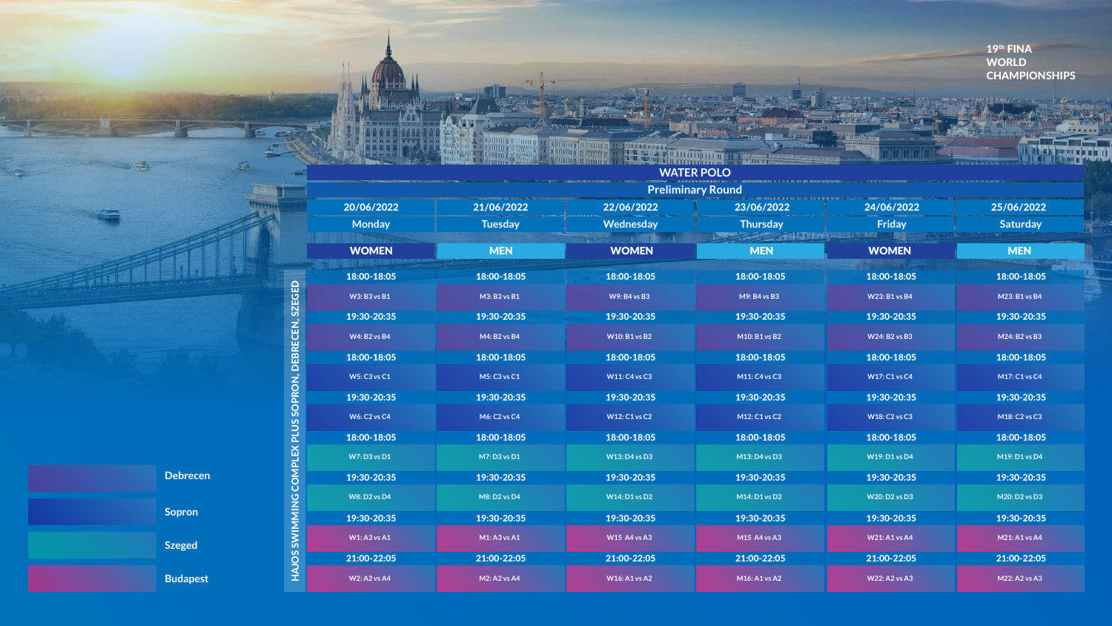**Preliminary Round**



## **WATER POLO**

**Rummy** 

Linnin

gmu i

|                     |                     |                      | <b>FIGHIHIII</b> IIII Y INUUTIU |                      |                      |
|---------------------|---------------------|----------------------|---------------------------------|----------------------|----------------------|
| 20/06/2022          | 21/06/2022          | 22/06/2022           | 23/06/2022                      | 24/06/2022           | 25/06/2022           |
| <b>Monday</b>       | <b>Tuesday</b>      | <b>Wednesday</b>     | <b>Thursday</b>                 | <b>Friday</b>        | <b>Saturday</b>      |
| <b>WOMEN</b>        | <b>MEN</b>          | <b>WOMEN</b>         | <b>MEN</b>                      | <b>WOMEN</b>         | <b>MEN</b>           |
| 18:00-18:05         | 18:00-18:05         | 18:00-18:05          | 18:00-18:05                     | 18:00-18:05          | 18:00-18:05          |
| <b>W3: B3 vs B1</b> | M3: B3 vs B1        | W9: B4 vs B3         | M9: B4 vs B3                    | <b>W23: B1 vs B4</b> | M23: B1 vs B4        |
| 19:30-20:35         | 19:30-20:35         | 19:30-20:35          | 19:30-20:35                     | 19:30-20:35          | 19:30-20:35          |
| <b>W4: B2 vs B4</b> | M4: B2 vs B4        | <b>W10: B1 vs B2</b> | M10: B1 vs B2                   | <b>W24: B2 vs B3</b> | M24: B2 vs B3        |
| 18:00-18:05         | 18:00-18:05         | 18:00-18:05          | 18:00-18:05                     | 18:00-18:05          | 18:00-18:05          |
| <b>W5: C3 vs C1</b> | M5: C3 vs C1        | <b>W11: C4 vs C3</b> | M11: C4 vs C3                   | <b>W17: C1 vs C4</b> | M17: C1 vs C4        |
| 19:30-20:35         | 19:30-20:35         | 19:30-20:35          | 19:30-20:35                     | 19:30-20:35          | 19:30-20:35          |
| <b>W6: C2 vs C4</b> | <b>M6: C2 vs C4</b> | <b>W12: C1 vs C2</b> | M12: C1 vs C2                   | <b>W18: C2 vs C3</b> | M18: C2 vs C3        |
| 18:00-18:05         | 18:00-18:05         | 18:00-18:05          | 18:00-18:05                     | 18:00-18:05          | 18:00-18:05          |
| <b>W7: D3 vs D1</b> | M7: D3 vs D1        | <b>W13: D4 vs D3</b> | M13: D4 vs D3                   | <b>W19: D1 vs D4</b> | M19: D1 vs D4        |
| 19:30-20:35         | 19:30-20:35         | 19:30-20:35          | 19:30-20:35                     | 19:30-20:35          | 19:30-20:35          |
| <b>W8: D2 vs D4</b> | M8: D2 vs D4        | <b>W14: D1 vs D2</b> | M14: D1 vs D2                   | <b>W20: D2 vs D3</b> | M20: D2 vs D3        |
| 19:30-20:35         | 19:30-20:35         | 19:30-20:35          | 19:30-20:35                     | 19:30-20:35          | 19:30-20:35          |
| <b>W1: A3 vs A1</b> | M1: A3 vs A1        | <b>W15 A4 vs A3</b>  | M15 A4 vs A3                    | <b>W21: A1 vs A4</b> | <b>M21: A1 vs A4</b> |
| 21:00-22:05         | 21:00-22:05         | 21:00-22:05          | 21:00-22:05                     | 21:00-22:05          | 21:00-22:05          |
| <b>W2: A2 vs A4</b> | <b>M2: A2 vs A4</b> | <b>W16: A1 vs A2</b> | M16: A1 vs A2                   | <b>W22: A2 vs A3</b> | M22: A2 vs A3        |

MING COMPLEX PLUS SOPRON, DEBRECEN, SZEGED HAJOS SWIMMING COMPLEX PLUS SOPRON, DEBRECEN, SZEGED HAJOS SWIM

 $S_{\pm}$ 

19th FINA WORLD CHAMPIONSHIPS